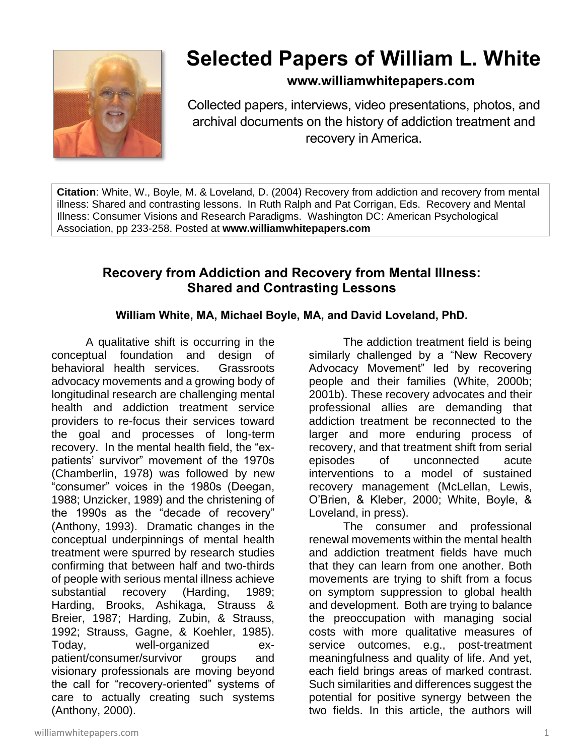

# **Selected Papers of William L. White**

**www.williamwhitepapers.com**

Collected papers, interviews, video presentations, photos, and archival documents on the history of addiction treatment and recovery in America.

**Citation**: White, W., Boyle, M. & Loveland, D. (2004) Recovery from addiction and recovery from mental illness: Shared and contrasting lessons. In Ruth Ralph and Pat Corrigan, Eds. Recovery and Mental Illness: Consumer Visions and Research Paradigms. Washington DC: American Psychological Association, pp 233-258. Posted at **www.williamwhitepapers.com**

# **Recovery from Addiction and Recovery from Mental Illness: Shared and Contrasting Lessons**

# **William White, MA, Michael Boyle, MA, and David Loveland, PhD.**

A qualitative shift is occurring in the conceptual foundation and design of behavioral health services. Grassroots advocacy movements and a growing body of longitudinal research are challenging mental health and addiction treatment service providers to re-focus their services toward the goal and processes of long-term recovery. In the mental health field, the "expatients' survivor" movement of the 1970s (Chamberlin, 1978) was followed by new "consumer" voices in the 1980s (Deegan, 1988; Unzicker, 1989) and the christening of the 1990s as the "decade of recovery" (Anthony, 1993). Dramatic changes in the conceptual underpinnings of mental health treatment were spurred by research studies confirming that between half and two-thirds of people with serious mental illness achieve substantial recovery (Harding, 1989; Harding, Brooks, Ashikaga, Strauss & Breier, 1987; Harding, Zubin, & Strauss, 1992; Strauss, Gagne, & Koehler, 1985). Today, well-organized expatient/consumer/survivor groups and visionary professionals are moving beyond the call for "recovery-oriented" systems of care to actually creating such systems (Anthony, 2000).

The addiction treatment field is being similarly challenged by a "New Recovery Advocacy Movement" led by recovering people and their families (White, 2000b; 2001b). These recovery advocates and their professional allies are demanding that addiction treatment be reconnected to the larger and more enduring process of recovery, and that treatment shift from serial episodes of unconnected acute interventions to a model of sustained recovery management (McLellan, Lewis, O'Brien, & Kleber, 2000; White, Boyle, & Loveland, in press).

The consumer and professional renewal movements within the mental health and addiction treatment fields have much that they can learn from one another. Both movements are trying to shift from a focus on symptom suppression to global health and development. Both are trying to balance the preoccupation with managing social costs with more qualitative measures of service outcomes, e.g., post-treatment meaningfulness and quality of life. And yet, each field brings areas of marked contrast. Such similarities and differences suggest the potential for positive synergy between the two fields. In this article, the authors will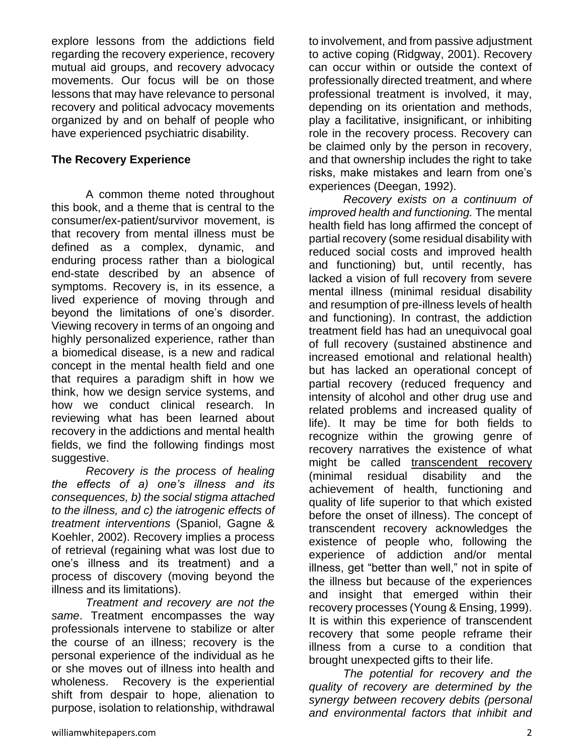explore lessons from the addictions field regarding the recovery experience, recovery mutual aid groups, and recovery advocacy movements. Our focus will be on those lessons that may have relevance to personal recovery and political advocacy movements organized by and on behalf of people who have experienced psychiatric disability.

#### **The Recovery Experience**

A common theme noted throughout this book, and a theme that is central to the consumer/ex-patient/survivor movement, is that recovery from mental illness must be defined as a complex, dynamic, and enduring process rather than a biological end-state described by an absence of symptoms. Recovery is, in its essence, a lived experience of moving through and beyond the limitations of one's disorder. Viewing recovery in terms of an ongoing and highly personalized experience, rather than a biomedical disease, is a new and radical concept in the mental health field and one that requires a paradigm shift in how we think, how we design service systems, and how we conduct clinical research. In reviewing what has been learned about recovery in the addictions and mental health fields, we find the following findings most suggestive.

*Recovery is the process of healing the effects of a) one's illness and its consequences, b) the social stigma attached to the illness, and c) the iatrogenic effects of treatment interventions* (Spaniol, Gagne & Koehler, 2002). Recovery implies a process of retrieval (regaining what was lost due to one's illness and its treatment) and a process of discovery (moving beyond the illness and its limitations).

*Treatment and recovery are not the same*. Treatment encompasses the way professionals intervene to stabilize or alter the course of an illness; recovery is the personal experience of the individual as he or she moves out of illness into health and wholeness. Recovery is the experiential shift from despair to hope, alienation to purpose, isolation to relationship, withdrawal

to involvement, and from passive adjustment to active coping (Ridgway, 2001). Recovery can occur within or outside the context of professionally directed treatment, and where professional treatment is involved, it may, depending on its orientation and methods, play a facilitative, insignificant, or inhibiting role in the recovery process. Recovery can be claimed only by the person in recovery, and that ownership includes the right to take risks, make mistakes and learn from one's experiences (Deegan, 1992).

*Recovery exists on a continuum of improved health and functioning.* The mental health field has long affirmed the concept of partial recovery (some residual disability with reduced social costs and improved health and functioning) but, until recently, has lacked a vision of full recovery from severe mental illness (minimal residual disability and resumption of pre-illness levels of health and functioning). In contrast, the addiction treatment field has had an unequivocal goal of full recovery (sustained abstinence and increased emotional and relational health) but has lacked an operational concept of partial recovery (reduced frequency and intensity of alcohol and other drug use and related problems and increased quality of life). It may be time for both fields to recognize within the growing genre of recovery narratives the existence of what might be called transcendent recovery (minimal residual disability and the achievement of health, functioning and quality of life superior to that which existed before the onset of illness). The concept of transcendent recovery acknowledges the existence of people who, following the experience of addiction and/or mental illness, get "better than well," not in spite of the illness but because of the experiences and insight that emerged within their recovery processes (Young & Ensing, 1999). It is within this experience of transcendent recovery that some people reframe their illness from a curse to a condition that brought unexpected gifts to their life.

*The potential for recovery and the quality of recovery are determined by the synergy between recovery debits (personal and environmental factors that inhibit and*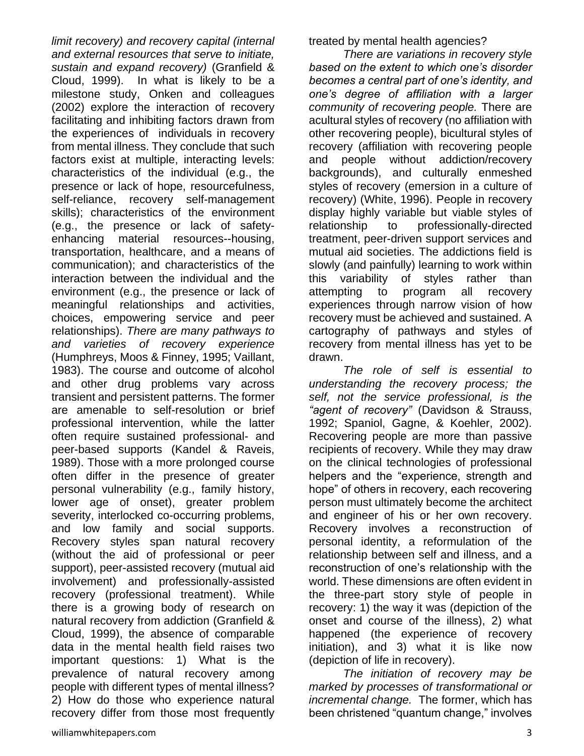*limit recovery) and recovery capital (internal and external resources that serve to initiate, sustain and expand recovery)* (Granfield & Cloud, 1999). In what is likely to be a milestone study, Onken and colleagues (2002) explore the interaction of recovery facilitating and inhibiting factors drawn from the experiences of individuals in recovery from mental illness. They conclude that such factors exist at multiple, interacting levels: characteristics of the individual (e.g., the presence or lack of hope, resourcefulness, self-reliance, recovery self-management skills); characteristics of the environment (e.g., the presence or lack of safetyenhancing material resources--housing, transportation, healthcare, and a means of communication); and characteristics of the interaction between the individual and the environment (e.g., the presence or lack of meaningful relationships and activities, choices, empowering service and peer relationships). *There are many pathways to and varieties of recovery experience*  (Humphreys, Moos & Finney, 1995; Vaillant, 1983). The course and outcome of alcohol and other drug problems vary across transient and persistent patterns. The former are amenable to self-resolution or brief professional intervention, while the latter often require sustained professional- and peer-based supports (Kandel & Raveis, 1989). Those with a more prolonged course often differ in the presence of greater personal vulnerability (e.g., family history, lower age of onset), greater problem severity, interlocked co-occurring problems, and low family and social supports. Recovery styles span natural recovery (without the aid of professional or peer support), peer-assisted recovery (mutual aid involvement) and professionally-assisted recovery (professional treatment). While there is a growing body of research on natural recovery from addiction (Granfield & Cloud, 1999), the absence of comparable data in the mental health field raises two important questions: 1) What is the prevalence of natural recovery among people with different types of mental illness? 2) How do those who experience natural recovery differ from those most frequently treated by mental health agencies?

*There are variations in recovery style based on the extent to which one's disorder becomes a central part of one's identity, and one's degree of affiliation with a larger community of recovering people.* There are acultural styles of recovery (no affiliation with other recovering people), bicultural styles of recovery (affiliation with recovering people and people without addiction/recovery backgrounds), and culturally enmeshed styles of recovery (emersion in a culture of recovery) (White, 1996). People in recovery display highly variable but viable styles of relationship to professionally-directed treatment, peer-driven support services and mutual aid societies. The addictions field is slowly (and painfully) learning to work within this variability of styles rather than attempting to program all recovery experiences through narrow vision of how recovery must be achieved and sustained. A cartography of pathways and styles of recovery from mental illness has yet to be drawn.

*The role of self is essential to understanding the recovery process; the self, not the service professional, is the "agent of recovery"* (Davidson & Strauss, 1992; Spaniol, Gagne, & Koehler, 2002). Recovering people are more than passive recipients of recovery. While they may draw on the clinical technologies of professional helpers and the "experience, strength and hope" of others in recovery, each recovering person must ultimately become the architect and engineer of his or her own recovery. Recovery involves a reconstruction of personal identity, a reformulation of the relationship between self and illness, and a reconstruction of one's relationship with the world. These dimensions are often evident in the three-part story style of people in recovery: 1) the way it was (depiction of the onset and course of the illness), 2) what happened (the experience of recovery initiation), and 3) what it is like now (depiction of life in recovery).

*The initiation of recovery may be marked by processes of transformational or incremental change.* The former, which has been christened "quantum change," involves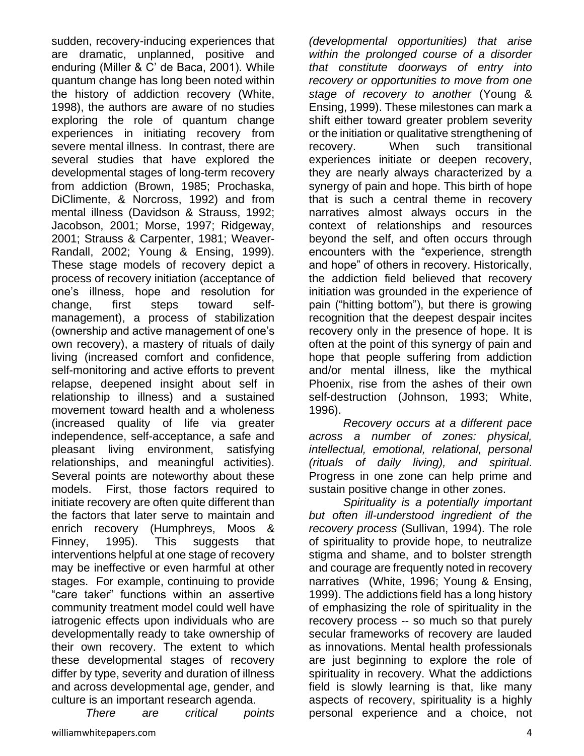sudden, recovery-inducing experiences that are dramatic, unplanned, positive and enduring (Miller & C' de Baca, 2001). While quantum change has long been noted within the history of addiction recovery (White, 1998), the authors are aware of no studies exploring the role of quantum change experiences in initiating recovery from severe mental illness. In contrast, there are several studies that have explored the developmental stages of long-term recovery from addiction (Brown, 1985; Prochaska, DiClimente, & Norcross, 1992) and from mental illness (Davidson & Strauss, 1992; Jacobson, 2001; Morse, 1997; Ridgeway, 2001; Strauss & Carpenter, 1981; Weaver-Randall, 2002; Young & Ensing, 1999). These stage models of recovery depict a process of recovery initiation (acceptance of one's illness, hope and resolution for change, first steps toward selfmanagement), a process of stabilization (ownership and active management of one's own recovery), a mastery of rituals of daily living (increased comfort and confidence, self-monitoring and active efforts to prevent relapse, deepened insight about self in relationship to illness) and a sustained movement toward health and a wholeness (increased quality of life via greater independence, self-acceptance, a safe and pleasant living environment, satisfying relationships, and meaningful activities). Several points are noteworthy about these models. First, those factors required to initiate recovery are often quite different than the factors that later serve to maintain and enrich recovery (Humphreys, Moos & Finney, 1995). This suggests that interventions helpful at one stage of recovery may be ineffective or even harmful at other stages. For example, continuing to provide "care taker" functions within an assertive community treatment model could well have iatrogenic effects upon individuals who are developmentally ready to take ownership of their own recovery. The extent to which these developmental stages of recovery differ by type, severity and duration of illness and across developmental age, gender, and culture is an important research agenda.

*There are critical points* 

*(developmental opportunities) that arise within the prolonged course of a disorder that constitute doorways of entry into recovery or opportunities to move from one stage of recovery to another* (Young & Ensing, 1999). These milestones can mark a shift either toward greater problem severity or the initiation or qualitative strengthening of recovery. When such transitional experiences initiate or deepen recovery, they are nearly always characterized by a synergy of pain and hope. This birth of hope that is such a central theme in recovery narratives almost always occurs in the context of relationships and resources beyond the self, and often occurs through encounters with the "experience, strength and hope" of others in recovery. Historically, the addiction field believed that recovery initiation was grounded in the experience of pain ("hitting bottom"), but there is growing recognition that the deepest despair incites recovery only in the presence of hope. It is often at the point of this synergy of pain and hope that people suffering from addiction and/or mental illness, like the mythical Phoenix, rise from the ashes of their own self-destruction (Johnson, 1993; White, 1996).

*Recovery occurs at a different pace across a number of zones: physical, intellectual, emotional, relational, personal (rituals of daily living), and spiritual*. Progress in one zone can help prime and sustain positive change in other zones.

*Spirituality is a potentially important but often ill-understood ingredient of the recovery process* (Sullivan, 1994). The role of spirituality to provide hope, to neutralize stigma and shame, and to bolster strength and courage are frequently noted in recovery narratives (White, 1996; Young & Ensing, 1999). The addictions field has a long history of emphasizing the role of spirituality in the recovery process -- so much so that purely secular frameworks of recovery are lauded as innovations. Mental health professionals are just beginning to explore the role of spirituality in recovery. What the addictions field is slowly learning is that, like many aspects of recovery, spirituality is a highly personal experience and a choice, not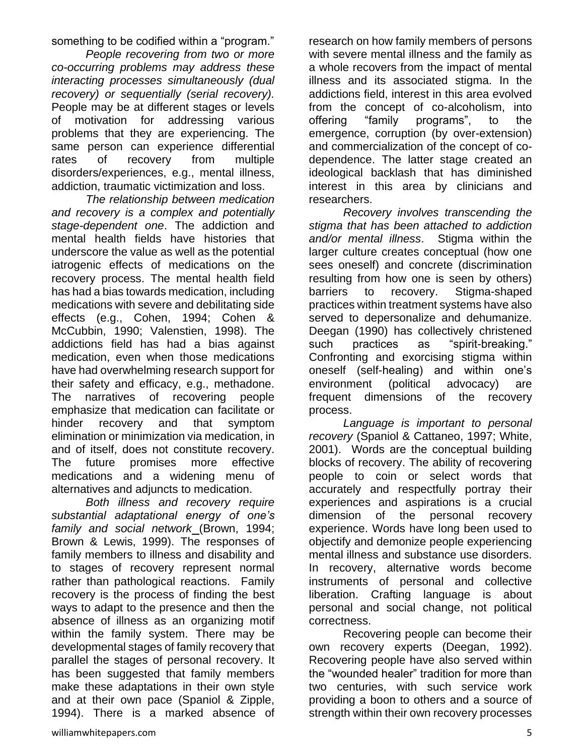something to be codified within a "program."

*People recovering from two or more co-occurring problems may address these interacting processes simultaneously (dual recovery) or sequentially (serial recovery).* People may be at different stages or levels of motivation for addressing various problems that they are experiencing. The same person can experience differential rates of recovery from multiple disorders/experiences, e.g., mental illness, addiction, traumatic victimization and loss.

*The relationship between medication and recovery is a complex and potentially stage-dependent one*. The addiction and mental health fields have histories that underscore the value as well as the potential iatrogenic effects of medications on the recovery process. The mental health field has had a bias towards medication, including medications with severe and debilitating side effects (e.g., Cohen, 1994; Cohen & McCubbin, 1990; Valenstien, 1998). The addictions field has had a bias against medication, even when those medications have had overwhelming research support for their safety and efficacy, e.g., methadone. The narratives of recovering people emphasize that medication can facilitate or hinder recovery and that symptom elimination or minimization via medication, in and of itself, does not constitute recovery. The future promises more effective medications and a widening menu of alternatives and adjuncts to medication.

*Both illness and recovery require substantial adaptational energy of one's family and social network* (Brown, 1994; Brown & Lewis, 1999). The responses of family members to illness and disability and to stages of recovery represent normal rather than pathological reactions. Family recovery is the process of finding the best ways to adapt to the presence and then the absence of illness as an organizing motif within the family system. There may be developmental stages of family recovery that parallel the stages of personal recovery. It has been suggested that family members make these adaptations in their own style and at their own pace (Spaniol & Zipple, 1994). There is a marked absence of research on how family members of persons with severe mental illness and the family as a whole recovers from the impact of mental illness and its associated stigma. In the addictions field, interest in this area evolved from the concept of co-alcoholism, into offering "family programs", to the emergence, corruption (by over-extension) and commercialization of the concept of codependence. The latter stage created an ideological backlash that has diminished interest in this area by clinicians and researchers.

*Recovery involves transcending the stigma that has been attached to addiction and/or mental illness*. Stigma within the larger culture creates conceptual (how one sees oneself) and concrete (discrimination resulting from how one is seen by others) barriers to recovery. Stigma-shaped practices within treatment systems have also served to depersonalize and dehumanize. Deegan (1990) has collectively christened such practices as "spirit-breaking." Confronting and exorcising stigma within oneself (self-healing) and within one's environment (political advocacy) are frequent dimensions of the recovery process.

*Language is important to personal recovery* (Spaniol & Cattaneo, 1997; White, 2001). Words are the conceptual building blocks of recovery. The ability of recovering people to coin or select words that accurately and respectfully portray their experiences and aspirations is a crucial dimension of the personal recovery experience. Words have long been used to objectify and demonize people experiencing mental illness and substance use disorders. In recovery, alternative words become instruments of personal and collective liberation. Crafting language is about personal and social change, not political correctness.

Recovering people can become their own recovery experts (Deegan, 1992). Recovering people have also served within the "wounded healer" tradition for more than two centuries, with such service work providing a boon to others and a source of strength within their own recovery processes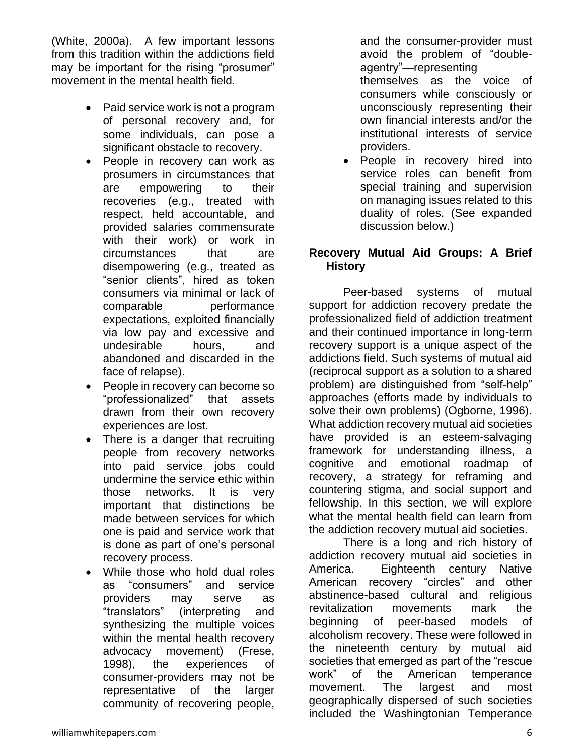(White, 2000a). A few important lessons from this tradition within the addictions field may be important for the rising "prosumer" movement in the mental health field.

- Paid service work is not a program of personal recovery and, for some individuals, can pose a significant obstacle to recovery.
- People in recovery can work as prosumers in circumstances that are empowering to their recoveries (e.g., treated with respect, held accountable, and provided salaries commensurate with their work) or work in circumstances that are disempowering (e.g., treated as "senior clients", hired as token consumers via minimal or lack of comparable performance expectations, exploited financially via low pay and excessive and undesirable hours, and abandoned and discarded in the face of relapse).
- People in recovery can become so "professionalized" that assets drawn from their own recovery experiences are lost.
- There is a danger that recruiting people from recovery networks into paid service jobs could undermine the service ethic within those networks. It is very important that distinctions be made between services for which one is paid and service work that is done as part of one's personal recovery process.
- While those who hold dual roles as "consumers" and service providers may serve as "translators" (interpreting and synthesizing the multiple voices within the mental health recovery advocacy movement) (Frese, 1998), the experiences of consumer-providers may not be representative of the larger community of recovering people,

and the consumer-provider must avoid the problem of "doubleagentry"—representing themselves as the voice of consumers while consciously or unconsciously representing their own financial interests and/or the institutional interests of service providers.

• People in recovery hired into service roles can benefit from special training and supervision on managing issues related to this duality of roles. (See expanded discussion below.)

### **Recovery Mutual Aid Groups: A Brief History**

Peer-based systems of mutual support for addiction recovery predate the professionalized field of addiction treatment and their continued importance in long-term recovery support is a unique aspect of the addictions field. Such systems of mutual aid (reciprocal support as a solution to a shared problem) are distinguished from "self-help" approaches (efforts made by individuals to solve their own problems) (Ogborne, 1996). What addiction recovery mutual aid societies have provided is an esteem-salvaging framework for understanding illness, a cognitive and emotional roadmap of recovery, a strategy for reframing and countering stigma, and social support and fellowship. In this section, we will explore what the mental health field can learn from the addiction recovery mutual aid societies.

There is a long and rich history of addiction recovery mutual aid societies in America. Eighteenth century Native American recovery "circles" and other abstinence-based cultural and religious revitalization movements mark the beginning of peer-based models of alcoholism recovery. These were followed in the nineteenth century by mutual aid societies that emerged as part of the "rescue work" of the American temperance movement. The largest and most geographically dispersed of such societies included the Washingtonian Temperance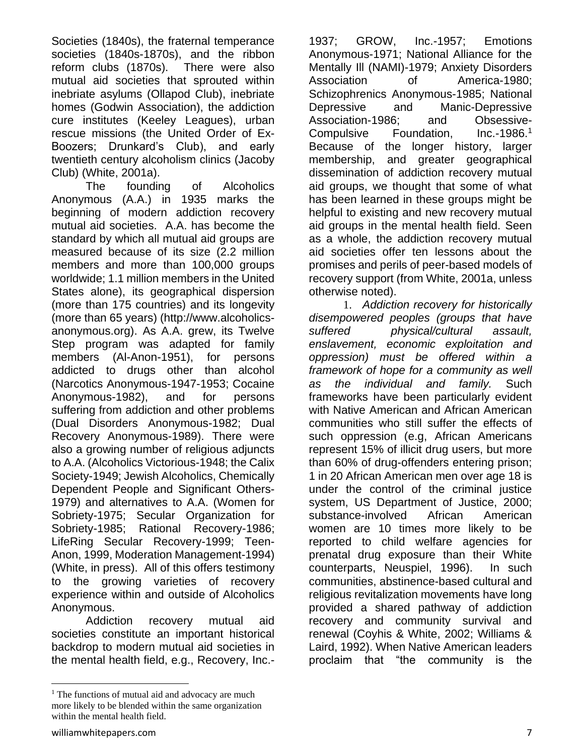Societies (1840s), the fraternal temperance societies (1840s-1870s), and the ribbon reform clubs (1870s). There were also mutual aid societies that sprouted within inebriate asylums (Ollapod Club), inebriate homes (Godwin Association), the addiction cure institutes (Keeley Leagues), urban rescue missions (the United Order of Ex-Boozers; Drunkard's Club), and early twentieth century alcoholism clinics (Jacoby Club) (White, 2001a).

The founding of Alcoholics Anonymous (A.A.) in 1935 marks the beginning of modern addiction recovery mutual aid societies. A.A. has become the standard by which all mutual aid groups are measured because of its size (2.2 million members and more than 100,000 groups worldwide; 1.1 million members in the United States alone), its geographical dispersion (more than 175 countries) and its longevity (more than 65 years) (http://www.alcoholicsanonymous.org). As A.A. grew, its Twelve Step program was adapted for family members (Al-Anon-1951), for persons addicted to drugs other than alcohol (Narcotics Anonymous-1947-1953; Cocaine Anonymous-1982), and for persons suffering from addiction and other problems (Dual Disorders Anonymous-1982; Dual Recovery Anonymous-1989). There were also a growing number of religious adjuncts to A.A. (Alcoholics Victorious-1948; the Calix Society-1949; Jewish Alcoholics, Chemically Dependent People and Significant Others-1979) and alternatives to A.A. (Women for Sobriety-1975; Secular Organization for Sobriety-1985; Rational Recovery-1986; LifeRing Secular Recovery-1999; Teen-Anon, 1999, Moderation Management-1994) (White, in press). All of this offers testimony to the growing varieties of recovery experience within and outside of Alcoholics Anonymous.

Addiction recovery mutual aid societies constitute an important historical backdrop to modern mutual aid societies in the mental health field, e.g., Recovery, Inc.-

1937; GROW, Inc.-1957; Emotions Anonymous-1971; National Alliance for the Mentally Ill (NAMI)-1979; Anxiety Disorders Association of America-1980; Schizophrenics Anonymous-1985; National Depressive and Manic-Depressive Association-1986; and Obsessive-Compulsive Foundation.  $Inc.-1986.<sup>1</sup>$ Because of the longer history, larger membership, and greater geographical dissemination of addiction recovery mutual aid groups, we thought that some of what has been learned in these groups might be helpful to existing and new recovery mutual aid groups in the mental health field. Seen as a whole, the addiction recovery mutual aid societies offer ten lessons about the promises and perils of peer-based models of recovery support (from White, 2001a, unless otherwise noted).

1. *Addiction recovery for historically disempowered peoples (groups that have suffered physical/cultural assault, enslavement, economic exploitation and oppression) must be offered within a framework of hope for a community as well as the individual and family.* Such frameworks have been particularly evident with Native American and African American communities who still suffer the effects of such oppression (e.g, African Americans represent 15% of illicit drug users, but more than 60% of drug-offenders entering prison; 1 in 20 African American men over age 18 is under the control of the criminal justice system, US Department of Justice, 2000; substance-involved African American women are 10 times more likely to be reported to child welfare agencies for prenatal drug exposure than their White counterparts, Neuspiel, 1996). In such communities, abstinence-based cultural and religious revitalization movements have long provided a shared pathway of addiction recovery and community survival and renewal (Coyhis & White, 2002; Williams & Laird, 1992). When Native American leaders proclaim that "the community is the

<sup>&</sup>lt;sup>1</sup> The functions of mutual aid and advocacy are much more likely to be blended within the same organization within the mental health field.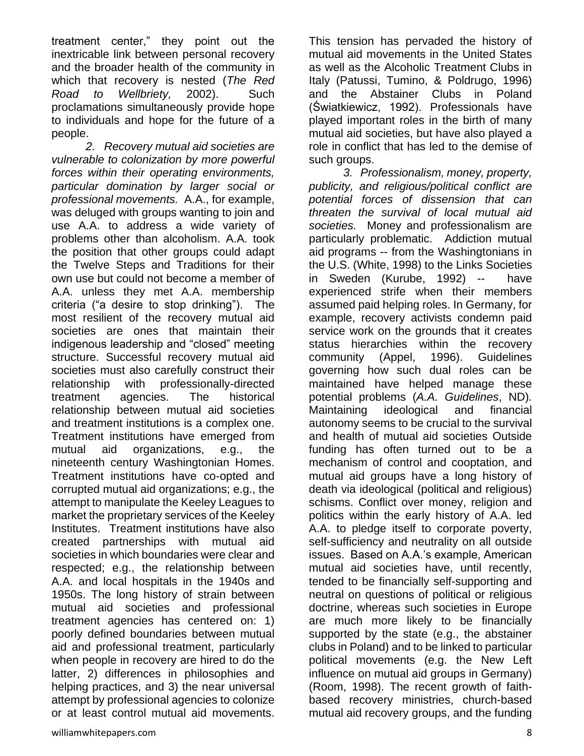treatment center," they point out the inextricable link between personal recovery and the broader health of the community in which that recovery is nested (*The Red Road to Wellbriety,* 2002). Such proclamations simultaneously provide hope to individuals and hope for the future of a people.

*2. Recovery mutual aid societies are vulnerable to colonization by more powerful forces within their operating environments, particular domination by larger social or professional movements.* A.A., for example, was deluged with groups wanting to join and use A.A. to address a wide variety of problems other than alcoholism. A.A. took the position that other groups could adapt the Twelve Steps and Traditions for their own use but could not become a member of A.A. unless they met A.A. membership criteria ("a desire to stop drinking"). The most resilient of the recovery mutual aid societies are ones that maintain their indigenous leadership and "closed" meeting structure. Successful recovery mutual aid societies must also carefully construct their relationship with professionally-directed treatment agencies. The historical relationship between mutual aid societies and treatment institutions is a complex one. Treatment institutions have emerged from mutual aid organizations, e.g., the nineteenth century Washingtonian Homes. Treatment institutions have co-opted and corrupted mutual aid organizations; e.g., the attempt to manipulate the Keeley Leagues to market the proprietary services of the Keeley Institutes. Treatment institutions have also created partnerships with mutual aid societies in which boundaries were clear and respected; e.g., the relationship between A.A. and local hospitals in the 1940s and 1950s. The long history of strain between mutual aid societies and professional treatment agencies has centered on: 1) poorly defined boundaries between mutual aid and professional treatment, particularly when people in recovery are hired to do the latter, 2) differences in philosophies and helping practices, and 3) the near universal attempt by professional agencies to colonize or at least control mutual aid movements.

This tension has pervaded the history of mutual aid movements in the United States as well as the Alcoholic Treatment Clubs in Italy (Patussi, Tumino, & Poldrugo, 1996) and the Abstainer Clubs in Poland (Światkiewicz, 1992). Professionals have played important roles in the birth of many mutual aid societies, but have also played a role in conflict that has led to the demise of such groups.

*3. Professionalism, money, property, publicity, and religious/political conflict are potential forces of dissension that can threaten the survival of local mutual aid societies.* Money and professionalism are particularly problematic. Addiction mutual aid programs -- from the Washingtonians in the U.S. (White, 1998) to the Links Societies in Sweden (Kurube, 1992) -- have experienced strife when their members assumed paid helping roles. In Germany, for example, recovery activists condemn paid service work on the grounds that it creates status hierarchies within the recovery community (Appel, 1996). Guidelines governing how such dual roles can be maintained have helped manage these potential problems (*A.A. Guidelines*, ND)*.*  Maintaining ideological and financial autonomy seems to be crucial to the survival and health of mutual aid societies Outside funding has often turned out to be a mechanism of control and cooptation, and mutual aid groups have a long history of death via ideological (political and religious) schisms. Conflict over money, religion and politics within the early history of A.A. led A.A. to pledge itself to corporate poverty, self-sufficiency and neutrality on all outside issues. Based on A.A.'s example, American mutual aid societies have, until recently, tended to be financially self-supporting and neutral on questions of political or religious doctrine, whereas such societies in Europe are much more likely to be financially supported by the state (e.g., the abstainer clubs in Poland) and to be linked to particular political movements (e.g. the New Left influence on mutual aid groups in Germany) (Room, 1998). The recent growth of faithbased recovery ministries, church-based mutual aid recovery groups, and the funding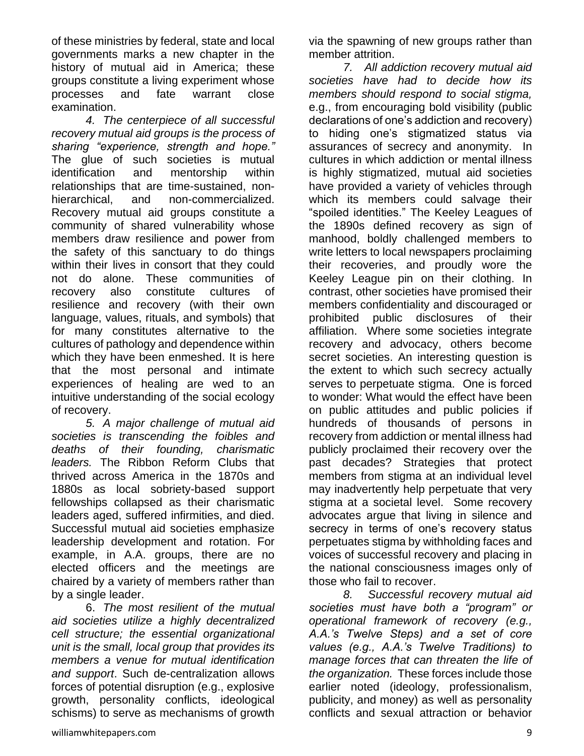of these ministries by federal, state and local governments marks a new chapter in the history of mutual aid in America; these groups constitute a living experiment whose processes and fate warrant close examination.

*4. The centerpiece of all successful recovery mutual aid groups is the process of sharing "experience, strength and hope."* The glue of such societies is mutual identification and mentorship within relationships that are time-sustained, nonhierarchical, and non-commercialized. Recovery mutual aid groups constitute a community of shared vulnerability whose members draw resilience and power from the safety of this sanctuary to do things within their lives in consort that they could not do alone. These communities of recovery also constitute cultures of resilience and recovery (with their own language, values, rituals, and symbols) that for many constitutes alternative to the cultures of pathology and dependence within which they have been enmeshed. It is here that the most personal and intimate experiences of healing are wed to an intuitive understanding of the social ecology of recovery.

*5. A major challenge of mutual aid societies is transcending the foibles and deaths of their founding, charismatic leaders.* The Ribbon Reform Clubs that thrived across America in the 1870s and 1880s as local sobriety-based support fellowships collapsed as their charismatic leaders aged, suffered infirmities, and died. Successful mutual aid societies emphasize leadership development and rotation. For example, in A.A. groups, there are no elected officers and the meetings are chaired by a variety of members rather than by a single leader.

6. *The most resilient of the mutual aid societies utilize a highly decentralized cell structure; the essential organizational unit is the small, local group that provides its members a venue for mutual identification and support*. Such de-centralization allows forces of potential disruption (e.g., explosive growth, personality conflicts, ideological schisms) to serve as mechanisms of growth via the spawning of new groups rather than member attrition.

*7. All addiction recovery mutual aid societies have had to decide how its members should respond to social stigma,* e.g., from encouraging bold visibility (public declarations of one's addiction and recovery) to hiding one's stigmatized status via assurances of secrecy and anonymity. In cultures in which addiction or mental illness is highly stigmatized, mutual aid societies have provided a variety of vehicles through which its members could salvage their "spoiled identities." The Keeley Leagues of the 1890s defined recovery as sign of manhood, boldly challenged members to write letters to local newspapers proclaiming their recoveries, and proudly wore the Keeley League pin on their clothing. In contrast, other societies have promised their members confidentiality and discouraged or prohibited public disclosures of their affiliation. Where some societies integrate recovery and advocacy, others become secret societies. An interesting question is the extent to which such secrecy actually serves to perpetuate stigma. One is forced to wonder: What would the effect have been on public attitudes and public policies if hundreds of thousands of persons in recovery from addiction or mental illness had publicly proclaimed their recovery over the past decades? Strategies that protect members from stigma at an individual level may inadvertently help perpetuate that very stigma at a societal level. Some recovery advocates argue that living in silence and secrecy in terms of one's recovery status perpetuates stigma by withholding faces and voices of successful recovery and placing in the national consciousness images only of those who fail to recover.

*8. Successful recovery mutual aid societies must have both a "program" or operational framework of recovery (e.g., A.A.'s Twelve Steps) and a set of core values (e.g., A.A.'s Twelve Traditions) to manage forces that can threaten the life of the organization.* These forces include those earlier noted (ideology, professionalism, publicity, and money) as well as personality conflicts and sexual attraction or behavior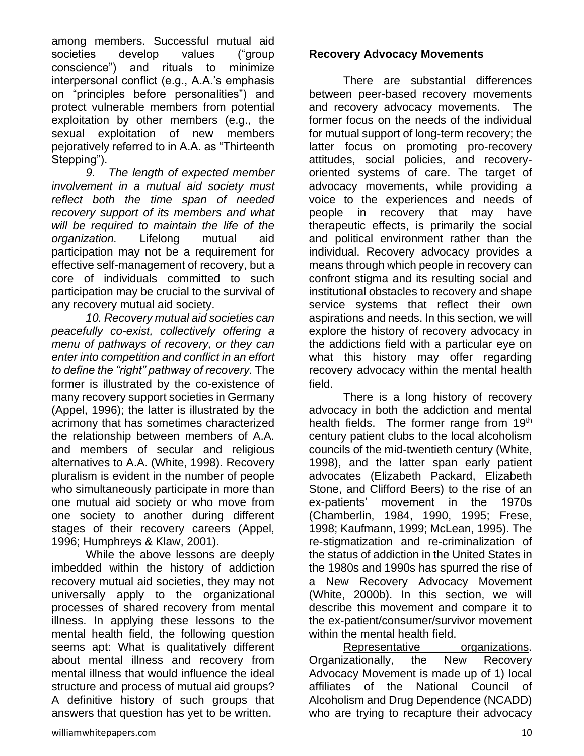among members. Successful mutual aid societies develop values ("group conscience") and rituals to minimize interpersonal conflict (e.g., A.A.'s emphasis on "principles before personalities") and protect vulnerable members from potential exploitation by other members (e.g., the sexual exploitation of new members pejoratively referred to in A.A. as "Thirteenth Stepping").

*9. The length of expected member involvement in a mutual aid society must reflect both the time span of needed recovery support of its members and what will be required to maintain the life of the organization.* Lifelong mutual aid participation may not be a requirement for effective self-management of recovery, but a core of individuals committed to such participation may be crucial to the survival of any recovery mutual aid society.

*10. Recovery mutual aid societies can peacefully co-exist, collectively offering a menu of pathways of recovery, or they can enter into competition and conflict in an effort to define the "right" pathway of recovery.* The former is illustrated by the co-existence of many recovery support societies in Germany (Appel, 1996); the latter is illustrated by the acrimony that has sometimes characterized the relationship between members of A.A. and members of secular and religious alternatives to A.A. (White, 1998). Recovery pluralism is evident in the number of people who simultaneously participate in more than one mutual aid society or who move from one society to another during different stages of their recovery careers (Appel, 1996; Humphreys & Klaw, 2001).

While the above lessons are deeply imbedded within the history of addiction recovery mutual aid societies, they may not universally apply to the organizational processes of shared recovery from mental illness. In applying these lessons to the mental health field, the following question seems apt: What is qualitatively different about mental illness and recovery from mental illness that would influence the ideal structure and process of mutual aid groups? A definitive history of such groups that answers that question has yet to be written.

#### **Recovery Advocacy Movements**

There are substantial differences between peer-based recovery movements and recovery advocacy movements. The former focus on the needs of the individual for mutual support of long-term recovery; the latter focus on promoting pro-recovery attitudes, social policies, and recoveryoriented systems of care. The target of advocacy movements, while providing a voice to the experiences and needs of people in recovery that may have therapeutic effects, is primarily the social and political environment rather than the individual. Recovery advocacy provides a means through which people in recovery can confront stigma and its resulting social and institutional obstacles to recovery and shape service systems that reflect their own aspirations and needs. In this section, we will explore the history of recovery advocacy in the addictions field with a particular eye on what this history may offer regarding recovery advocacy within the mental health field.

There is a long history of recovery advocacy in both the addiction and mental health fields. The former range from 19<sup>th</sup> century patient clubs to the local alcoholism councils of the mid-twentieth century (White, 1998), and the latter span early patient advocates (Elizabeth Packard, Elizabeth Stone, and Clifford Beers) to the rise of an ex-patients' movement in the 1970s (Chamberlin, 1984, 1990, 1995; Frese, 1998; Kaufmann, 1999; McLean, 1995). The re-stigmatization and re-criminalization of the status of addiction in the United States in the 1980s and 1990s has spurred the rise of a New Recovery Advocacy Movement (White, 2000b). In this section, we will describe this movement and compare it to the ex-patient/consumer/survivor movement within the mental health field.

Representative organizations. Organizationally, the New Recovery Advocacy Movement is made up of 1) local affiliates of the National Council of Alcoholism and Drug Dependence (NCADD) who are trying to recapture their advocacy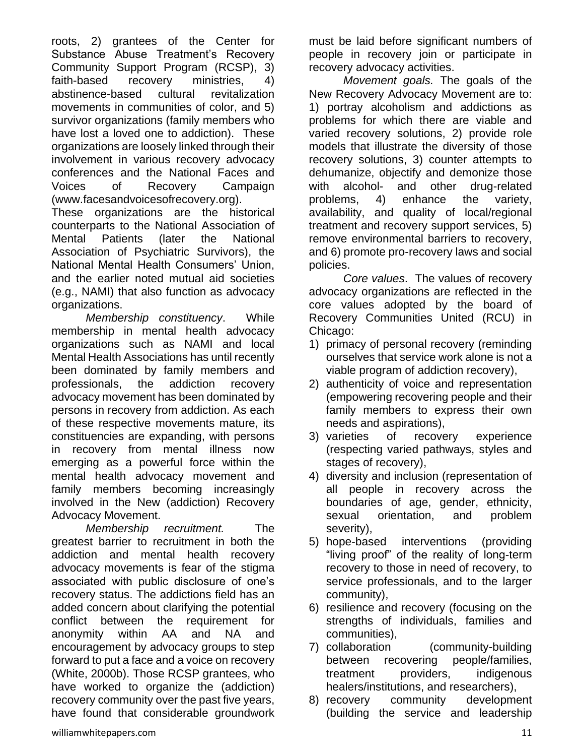roots, 2) grantees of the Center for Substance Abuse Treatment's Recovery Community Support Program (RCSP), 3) faith-based recovery ministries, 4) abstinence-based cultural revitalization movements in communities of color, and 5) survivor organizations (family members who have lost a loved one to addiction). These organizations are loosely linked through their involvement in various recovery advocacy conferences and the National Faces and Voices of Recovery Campaign (www.facesandvoicesofrecovery.org).

These organizations are the historical counterparts to the National Association of Mental Patients (later the National Association of Psychiatric Survivors), the National Mental Health Consumers' Union, and the earlier noted mutual aid societies (e.g., NAMI) that also function as advocacy organizations.

*Membership constituency*. While membership in mental health advocacy organizations such as NAMI and local Mental Health Associations has until recently been dominated by family members and professionals, the addiction recovery advocacy movement has been dominated by persons in recovery from addiction. As each of these respective movements mature, its constituencies are expanding, with persons in recovery from mental illness now emerging as a powerful force within the mental health advocacy movement and family members becoming increasingly involved in the New (addiction) Recovery Advocacy Movement.

*Membership recruitment.* The greatest barrier to recruitment in both the addiction and mental health recovery advocacy movements is fear of the stigma associated with public disclosure of one's recovery status. The addictions field has an added concern about clarifying the potential conflict between the requirement for anonymity within AA and NA and encouragement by advocacy groups to step forward to put a face and a voice on recovery (White, 2000b). Those RCSP grantees, who have worked to organize the (addiction) recovery community over the past five years, have found that considerable groundwork must be laid before significant numbers of people in recovery join or participate in recovery advocacy activities.

*Movement goals.* The goals of the New Recovery Advocacy Movement are to: 1) portray alcoholism and addictions as problems for which there are viable and varied recovery solutions, 2) provide role models that illustrate the diversity of those recovery solutions, 3) counter attempts to dehumanize, objectify and demonize those with alcohol- and other drug-related problems, 4) enhance the variety, availability, and quality of local/regional treatment and recovery support services, 5) remove environmental barriers to recovery, and 6) promote pro-recovery laws and social policies.

*Core values*.The values of recovery advocacy organizations are reflected in the core values adopted by the board of Recovery Communities United (RCU) in Chicago:

- 1) primacy of personal recovery (reminding ourselves that service work alone is not a viable program of addiction recovery),
- 2) authenticity of voice and representation (empowering recovering people and their family members to express their own needs and aspirations),
- 3) varieties of recovery experience (respecting varied pathways, styles and stages of recovery),
- 4) diversity and inclusion (representation of all people in recovery across the boundaries of age, gender, ethnicity, sexual orientation, and problem severity),
- 5) hope-based interventions (providing "living proof" of the reality of long-term recovery to those in need of recovery, to service professionals, and to the larger community),
- 6) resilience and recovery (focusing on the strengths of individuals, families and communities),
- 7) collaboration (community-building between recovering people/families, treatment providers, indigenous healers/institutions, and researchers),
- 8) recovery community development (building the service and leadership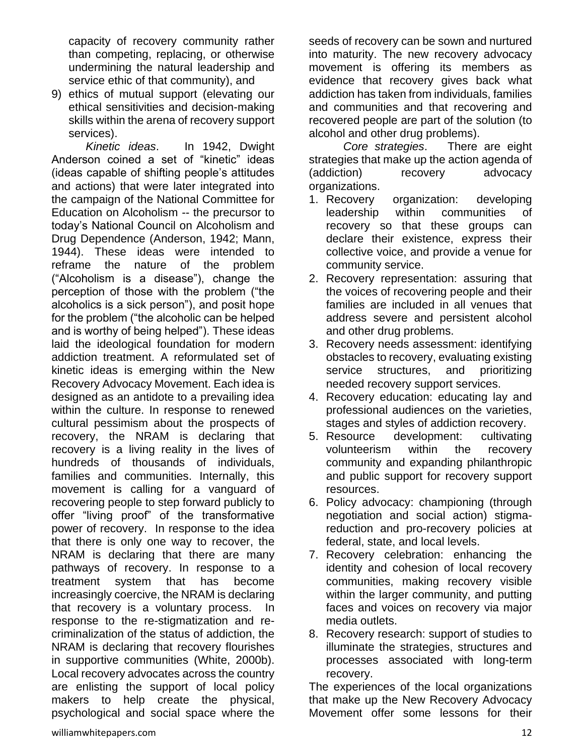capacity of recovery community rather than competing, replacing, or otherwise undermining the natural leadership and service ethic of that community), and

9) ethics of mutual support (elevating our ethical sensitivities and decision-making skills within the arena of recovery support services).

*Kinetic ideas*. In 1942, Dwight Anderson coined a set of "kinetic" ideas (ideas capable of shifting people's attitudes and actions) that were later integrated into the campaign of the National Committee for Education on Alcoholism -- the precursor to today's National Council on Alcoholism and Drug Dependence (Anderson, 1942; Mann, 1944). These ideas were intended to reframe the nature of the problem ("Alcoholism is a disease"), change the perception of those with the problem ("the alcoholics is a sick person"), and posit hope for the problem ("the alcoholic can be helped and is worthy of being helped"). These ideas laid the ideological foundation for modern addiction treatment. A reformulated set of kinetic ideas is emerging within the New Recovery Advocacy Movement. Each idea is designed as an antidote to a prevailing idea within the culture. In response to renewed cultural pessimism about the prospects of recovery, the NRAM is declaring that recovery is a living reality in the lives of hundreds of thousands of individuals, families and communities. Internally, this movement is calling for a vanguard of recovering people to step forward publicly to offer "living proof" of the transformative power of recovery. In response to the idea that there is only one way to recover, the NRAM is declaring that there are many pathways of recovery. In response to a treatment system that has become increasingly coercive, the NRAM is declaring that recovery is a voluntary process. In response to the re-stigmatization and recriminalization of the status of addiction, the NRAM is declaring that recovery flourishes in supportive communities (White, 2000b). Local recovery advocates across the country are enlisting the support of local policy makers to help create the physical, psychological and social space where the seeds of recovery can be sown and nurtured into maturity. The new recovery advocacy movement is offering its members as evidence that recovery gives back what addiction has taken from individuals, families and communities and that recovering and recovered people are part of the solution (to alcohol and other drug problems).

*Core strategies*.There are eight strategies that make up the action agenda of (addiction) recovery advocacy organizations.

- 1. Recovery organization: developing leadership within communities of recovery so that these groups can declare their existence, express their collective voice, and provide a venue for community service.
- 2. Recovery representation: assuring that the voices of recovering people and their families are included in all venues that address severe and persistent alcohol and other drug problems.
- 3. Recovery needs assessment: identifying obstacles to recovery, evaluating existing service structures, and prioritizing needed recovery support services.
- 4. Recovery education: educating lay and professional audiences on the varieties, stages and styles of addiction recovery.
- 5. Resource development: cultivating volunteerism within the recovery community and expanding philanthropic and public support for recovery support resources.
- 6. Policy advocacy: championing (through negotiation and social action) stigmareduction and pro-recovery policies at federal, state, and local levels.
- 7. Recovery celebration: enhancing the identity and cohesion of local recovery communities, making recovery visible within the larger community, and putting faces and voices on recovery via major media outlets.
- 8. Recovery research: support of studies to illuminate the strategies, structures and processes associated with long-term recovery.

The experiences of the local organizations that make up the New Recovery Advocacy Movement offer some lessons for their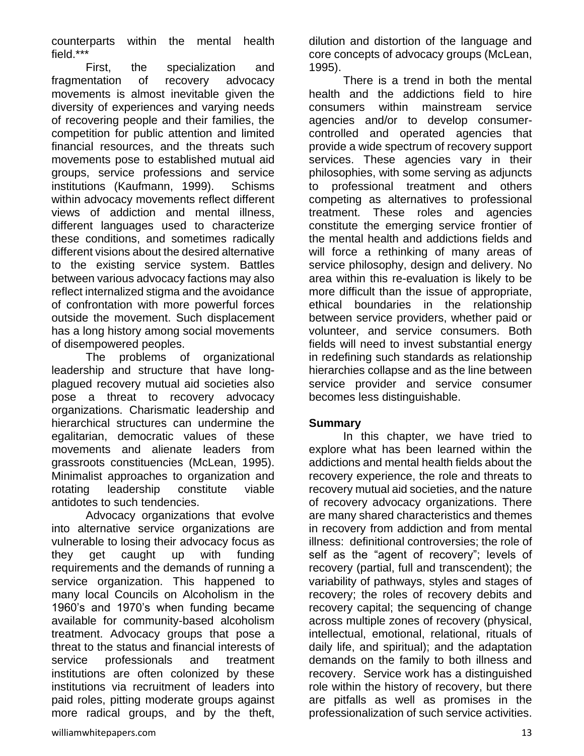counterparts within the mental health field.\*\*\*

First, the specialization and fragmentation of recovery advocacy movements is almost inevitable given the diversity of experiences and varying needs of recovering people and their families, the competition for public attention and limited financial resources, and the threats such movements pose to established mutual aid groups, service professions and service institutions (Kaufmann, 1999). Schisms within advocacy movements reflect different views of addiction and mental illness, different languages used to characterize these conditions, and sometimes radically different visions about the desired alternative to the existing service system. Battles between various advocacy factions may also reflect internalized stigma and the avoidance of confrontation with more powerful forces outside the movement. Such displacement has a long history among social movements of disempowered peoples.

The problems of organizational leadership and structure that have longplagued recovery mutual aid societies also pose a threat to recovery advocacy organizations. Charismatic leadership and hierarchical structures can undermine the egalitarian, democratic values of these movements and alienate leaders from grassroots constituencies (McLean, 1995). Minimalist approaches to organization and rotating leadership constitute viable antidotes to such tendencies.

Advocacy organizations that evolve into alternative service organizations are vulnerable to losing their advocacy focus as they get caught up with funding requirements and the demands of running a service organization. This happened to many local Councils on Alcoholism in the 1960's and 1970's when funding became available for community-based alcoholism treatment. Advocacy groups that pose a threat to the status and financial interests of service professionals and treatment institutions are often colonized by these institutions via recruitment of leaders into paid roles, pitting moderate groups against more radical groups, and by the theft,

There is a trend in both the mental health and the addictions field to hire consumers within mainstream service agencies and/or to develop consumercontrolled and operated agencies that provide a wide spectrum of recovery support services. These agencies vary in their philosophies, with some serving as adjuncts to professional treatment and others competing as alternatives to professional treatment. These roles and agencies constitute the emerging service frontier of the mental health and addictions fields and will force a rethinking of many areas of service philosophy, design and delivery. No area within this re-evaluation is likely to be more difficult than the issue of appropriate, ethical boundaries in the relationship between service providers, whether paid or volunteer, and service consumers. Both fields will need to invest substantial energy in redefining such standards as relationship hierarchies collapse and as the line between service provider and service consumer becomes less distinguishable.

#### **Summary**

In this chapter, we have tried to explore what has been learned within the addictions and mental health fields about the recovery experience, the role and threats to recovery mutual aid societies, and the nature of recovery advocacy organizations. There are many shared characteristics and themes in recovery from addiction and from mental illness: definitional controversies; the role of self as the "agent of recovery"; levels of recovery (partial, full and transcendent); the variability of pathways, styles and stages of recovery; the roles of recovery debits and recovery capital; the sequencing of change across multiple zones of recovery (physical, intellectual, emotional, relational, rituals of daily life, and spiritual); and the adaptation demands on the family to both illness and recovery. Service work has a distinguished role within the history of recovery, but there are pitfalls as well as promises in the professionalization of such service activities.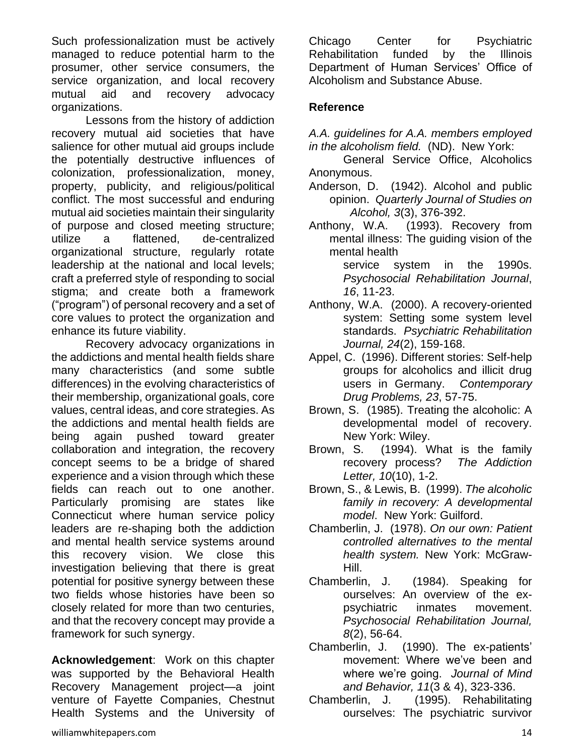Such professionalization must be actively managed to reduce potential harm to the prosumer, other service consumers, the service organization, and local recovery mutual aid and recovery advocacy organizations.

Lessons from the history of addiction recovery mutual aid societies that have salience for other mutual aid groups include the potentially destructive influences of colonization, professionalization, money, property, publicity, and religious/political conflict. The most successful and enduring mutual aid societies maintain their singularity of purpose and closed meeting structure; utilize a flattened, de-centralized organizational structure, regularly rotate leadership at the national and local levels; craft a preferred style of responding to social stigma; and create both a framework ("program") of personal recovery and a set of core values to protect the organization and enhance its future viability.

Recovery advocacy organizations in the addictions and mental health fields share many characteristics (and some subtle differences) in the evolving characteristics of their membership, organizational goals, core values, central ideas, and core strategies. As the addictions and mental health fields are being again pushed toward greater collaboration and integration, the recovery concept seems to be a bridge of shared experience and a vision through which these fields can reach out to one another. Particularly promising are states like Connecticut where human service policy leaders are re-shaping both the addiction and mental health service systems around this recovery vision. We close this investigation believing that there is great potential for positive synergy between these two fields whose histories have been so closely related for more than two centuries, and that the recovery concept may provide a framework for such synergy.

**Acknowledgement**: Work on this chapter was supported by the Behavioral Health Recovery Management project—a joint venture of Fayette Companies, Chestnut Health Systems and the University of Chicago Center for Psychiatric Rehabilitation funded by the Illinois Department of Human Services' Office of Alcoholism and Substance Abuse.

# **Reference**

*A.A. guidelines for A.A. members employed in the alcoholism field.* (ND). New York:

General Service Office, Alcoholics Anonymous.

- Anderson, D. (1942). Alcohol and public opinion. *Quarterly Journal of Studies on Alcohol, 3*(3), 376-392.
- Anthony, W.A. (1993). Recovery from mental illness: The guiding vision of the mental health
	- service system in the 1990s. *Psychosocial Rehabilitation Journal*, *16*, 11-23.
- Anthony, W.A. (2000). A recovery-oriented system: Setting some system level standards. *Psychiatric Rehabilitation Journal, 24*(2), 159-168.
- Appel, C. (1996). Different stories: Self-help groups for alcoholics and illicit drug users in Germany. *Contemporary Drug Problems, 23*, 57-75.
- Brown, S. (1985). Treating the alcoholic: A developmental model of recovery. New York: Wiley.
- Brown, S. (1994). What is the family recovery process? *The Addiction Letter, 10*(10), 1-2.
- Brown, S., & Lewis, B. (1999). *The alcoholic family in recovery: A developmental model*. New York: Guilford.
- Chamberlin, J. (1978). *On our own: Patient controlled alternatives to the mental health system.* New York: McGraw-Hill.
- Chamberlin, J. (1984). Speaking for ourselves: An overview of the expsychiatric inmates movement. *Psychosocial Rehabilitation Journal, 8*(2), 56-64.
- Chamberlin, J. (1990). The ex-patients' movement: Where we've been and where we're going. *Journal of Mind and Behavior, 11*(3 & 4), 323-336.
- Chamberlin, J. (1995). Rehabilitating ourselves: The psychiatric survivor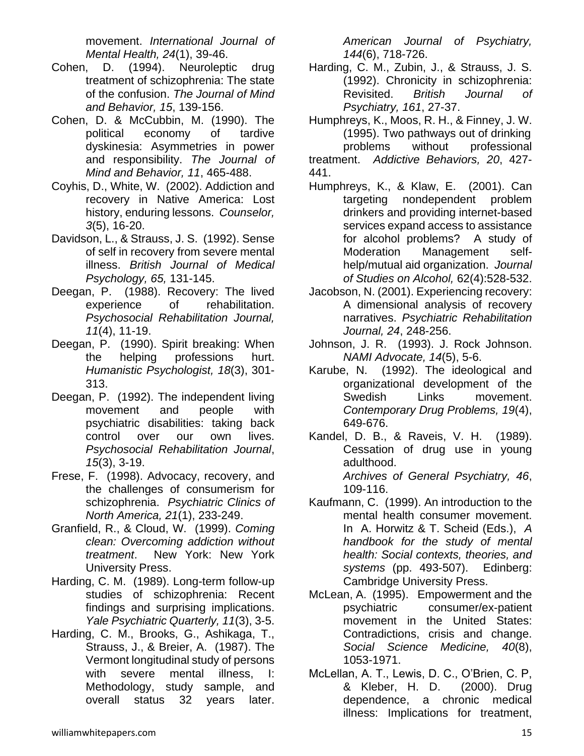movement. *International Journal of Mental Health, 24*(1), 39-46.

- Cohen, D. (1994). Neuroleptic drug treatment of schizophrenia: The state of the confusion. *The Journal of Mind and Behavior, 15*, 139-156.
- Cohen, D. & McCubbin, M. (1990). The political economy of tardive dyskinesia: Asymmetries in power and responsibility. *The Journal of Mind and Behavior, 11*, 465-488.
- Coyhis, D., White, W. (2002). Addiction and recovery in Native America: Lost history, enduring lessons. *Counselor, 3*(5), 16-20.
- Davidson, L., & Strauss, J. S. (1992). Sense of self in recovery from severe mental illness. *British Journal of Medical Psychology, 65,* 131-145.
- Deegan, P. (1988). Recovery: The lived experience of rehabilitation. *Psychosocial Rehabilitation Journal, 11*(4), 11-19.
- Deegan, P. (1990). Spirit breaking: When the helping professions hurt. *Humanistic Psychologist, 18*(3), 301- 313.
- Deegan, P. (1992). The independent living movement and people with psychiatric disabilities: taking back control over our own lives. *Psychosocial Rehabilitation Journal*, *15*(3), 3-19.
- Frese, F. (1998). Advocacy, recovery, and the challenges of consumerism for schizophrenia. *Psychiatric Clinics of North America, 21*(1), 233-249.
- Granfield, R., & Cloud, W. (1999). *Coming clean: Overcoming addiction without treatment*. New York: New York University Press.
- Harding, C. M. (1989). Long-term follow-up studies of schizophrenia: Recent findings and surprising implications. *Yale Psychiatric Quarterly, 11*(3), 3-5.
- Harding, C. M., Brooks, G., Ashikaga, T., Strauss, J., & Breier, A. (1987). The Vermont longitudinal study of persons with severe mental illness, I: Methodology, study sample, and overall status 32 years later.

*American Journal of Psychiatry, 144*(6), 718-726.

- Harding, C. M., Zubin, J., & Strauss, J. S. (1992). Chronicity in schizophrenia: Revisited. *British Journal of Psychiatry, 161*, 27-37.
- Humphreys, K., Moos, R. H., & Finney, J. W. (1995). Two pathways out of drinking problems without professional treatment. *Addictive Behaviors, 20*, 427- 441.
- Humphreys, K., & Klaw, E. (2001). Can targeting nondependent problem drinkers and providing internet-based services expand access to assistance for alcohol problems? A study of Moderation Management selfhelp/mutual aid organization. *Journal of Studies on Alcohol,* 62(4):528-532.
- Jacobson, N. (2001). Experiencing recovery: A dimensional analysis of recovery narratives. *Psychiatric Rehabilitation Journal, 24*, 248-256.
- Johnson, J. R. (1993). J. Rock Johnson. *NAMI Advocate, 14*(5), 5-6.
- Karube, N. (1992). The ideological and organizational development of the Swedish Links movement. *Contemporary Drug Problems, 19*(4), 649-676.
- Kandel, D. B., & Raveis, V. H. (1989). Cessation of drug use in young adulthood. *Archives of General Psychiatry, 46*, 109-116.
- Kaufmann, C. (1999). An introduction to the mental health consumer movement. In A. Horwitz & T. Scheid (Eds.), *A handbook for the study of mental health: Social contexts, theories, and systems* (pp. 493-507). Edinberg: Cambridge University Press.
- McLean, A. (1995). Empowerment and the psychiatric consumer/ex-patient movement in the United States: Contradictions, crisis and change. *Social Science Medicine, 40*(8), 1053-1971.
- McLellan, A. T., Lewis, D. C., O'Brien, C. P, & Kleber, H. D. (2000). Drug dependence, a chronic medical illness: Implications for treatment,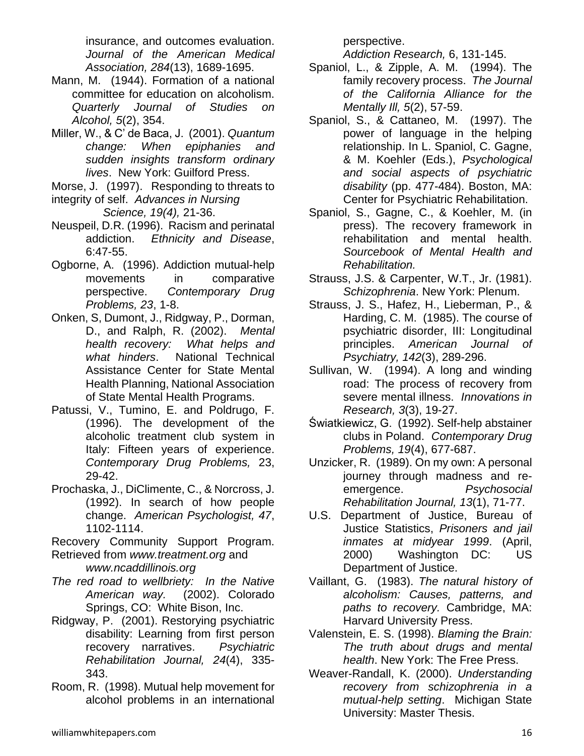insurance, and outcomes evaluation. *Journal of the American Medical Association, 284*(13), 1689-1695.

- Mann, M. (1944). Formation of a national committee for education on alcoholism. *Quarterly Journal of Studies on Alcohol, 5*(2), 354.
- Miller, W., & C' de Baca, J. (2001). *Quantum change: When epiphanies and sudden insights transform ordinary lives*. New York: Guilford Press.
- Morse, J. (1997). Responding to threats to integrity of self. *Advances in Nursing Science, 19(4),* 21-36.
- Neuspeil, D.R. (1996). Racism and perinatal addiction. *Ethnicity and Disease*, 6:47-55.
- Ogborne, A. (1996). Addiction mutual-help movements in comparative perspective. *Contemporary Drug Problems, 23*, 1-8.
- Onken, S, Dumont, J., Ridgway, P., Dorman, D., and Ralph, R. (2002). *Mental health recovery: What helps and what hinders*. National Technical Assistance Center for State Mental Health Planning, National Association of State Mental Health Programs.
- Patussi, V., Tumino, E. and Poldrugo, F. (1996). The development of the alcoholic treatment club system in Italy: Fifteen years of experience. *Contemporary Drug Problems,* 23, 29-42.
- Prochaska, J., DiClimente, C., & Norcross, J. (1992). In search of how people change. *American Psychologist, 47*, 1102-1114.

Recovery Community Support Program. Retrieved from *www.treatment.org* and

*www.ncaddillinois.org*

- *The red road to wellbriety: In the Native American way.* (2002). Colorado Springs, CO: White Bison, Inc.
- Ridgway, P. (2001). Restorying psychiatric disability: Learning from first person recovery narratives. *Psychiatric Rehabilitation Journal, 24*(4), 335- 343.
- Room, R. (1998). Mutual help movement for alcohol problems in an international

perspective.

*Addiction Research,* 6, 131-145.

- Spaniol, L., & Zipple, A. M. (1994). The family recovery process. *The Journal of the California Alliance for the Mentally Ill, 5*(2), 57-59.
- Spaniol, S., & Cattaneo, M. (1997). The power of language in the helping relationship. In L. Spaniol, C. Gagne, & M. Koehler (Eds.), *Psychological and social aspects of psychiatric disability* (pp. 477-484). Boston, MA: Center for Psychiatric Rehabilitation.
- Spaniol, S., Gagne, C., & Koehler, M. (in press). The recovery framework in rehabilitation and mental health. *Sourcebook of Mental Health and Rehabilitation.*
- Strauss, J.S. & Carpenter, W.T., Jr. (1981). *Schizophrenia*. New York: Plenum.
- Strauss, J. S., Hafez, H., Lieberman, P., & Harding, C. M. (1985). The course of psychiatric disorder, III: Longitudinal principles. *American Journal of Psychiatry, 142*(3), 289-296.
- Sullivan, W. (1994). A long and winding road: The process of recovery from severe mental illness. *Innovations in Research, 3*(3), 19-27.
- Światkiewicz, G. (1992). Self-help abstainer clubs in Poland. *Contemporary Drug Problems, 19*(4), 677-687.
- Unzicker, R. (1989). On my own: A personal journey through madness and reemergence. *Psychosocial Rehabilitation Journal, 13*(1), 71-77.
- U.S. Department of Justice, Bureau of Justice Statistics, *Prisoners and jail inmates at midyear 1999*. (April, 2000) Washington DC: US Department of Justice.
- Vaillant, G. (1983). *The natural history of alcoholism: Causes, patterns, and paths to recovery.* Cambridge, MA: Harvard University Press.
- Valenstein, E. S. (1998). *Blaming the Brain: The truth about drugs and mental health*. New York: The Free Press.
- Weaver-Randall, K. (2000). *Understanding recovery from schizophrenia in a mutual-help setting*. Michigan State University: Master Thesis.